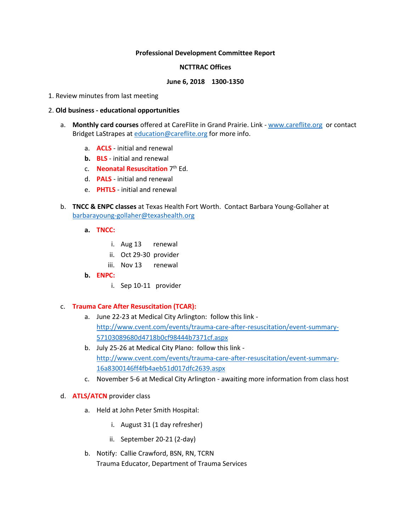### **Professional Development Committee Report**

#### **NCTTRAC Offices**

#### **June 6, 2018 1300-1350**

1. Review minutes from last meeting

### 2. **Old business - educational opportunities**

- a. **Monthly card courses** offered at CareFlite in Grand Prairie. Link [www.careflite.org](http://www.careflite.org/) or contact Bridget LaStrapes at [education@careflite.org](mailto:education@careflite.org) for more info.
	- a. **ACLS** initial and renewal
	- **b. BLS**  initial and renewal
	- c. **Neonatal Resuscitation** 7th Ed.
	- d. **PALS** initial and renewal
	- e. **PHTLS** initial and renewal
- b. **TNCC & ENPC classes** at Texas Health Fort Worth. Contact Barbara Young-Gollaher at [barbarayoung-gollaher@texashealth.org](mailto:barbarayoung-gollaher@texashealth.org)
	- **a. TNCC:**
		- i. Aug 13 renewal
		- ii. Oct 29-30 provider
		- iii. Nov 13 renewal
	- **b. ENPC:**
		- i. Sep 10-11 provider

#### c. **Trauma Care After Resuscitation (TCAR):**

- a. June 22-23 at Medical City Arlington: follow this link [http://www.cvent.com/events/trauma-care-after-resuscitation/event-summary-](http://www.cvent.com/events/trauma-care-after-resuscitation/event-summary-57103089680d4718b0cf98444b7371cf.aspx)[57103089680d4718b0cf98444b7371cf.aspx](http://www.cvent.com/events/trauma-care-after-resuscitation/event-summary-57103089680d4718b0cf98444b7371cf.aspx)
- b. July 25-26 at Medical City Plano: follow this link [http://www.cvent.com/events/trauma-care-after-resuscitation/event-summary-](http://www.cvent.com/events/trauma-care-after-resuscitation/event-summary-16a8300146ff4fb4aeb51d017dfc2639.aspx)[16a8300146ff4fb4aeb51d017dfc2639.aspx](http://www.cvent.com/events/trauma-care-after-resuscitation/event-summary-16a8300146ff4fb4aeb51d017dfc2639.aspx)
- c. November 5-6 at Medical City Arlington awaiting more information from class host
- d. **ATLS/ATCN** provider class
	- a. Held at John Peter Smith Hospital:
		- i. August 31 (1 day refresher)
		- ii. September 20-21 (2-day)
	- b. Notify: Callie Crawford, BSN, RN, TCRN Trauma Educator, Department of Trauma Services